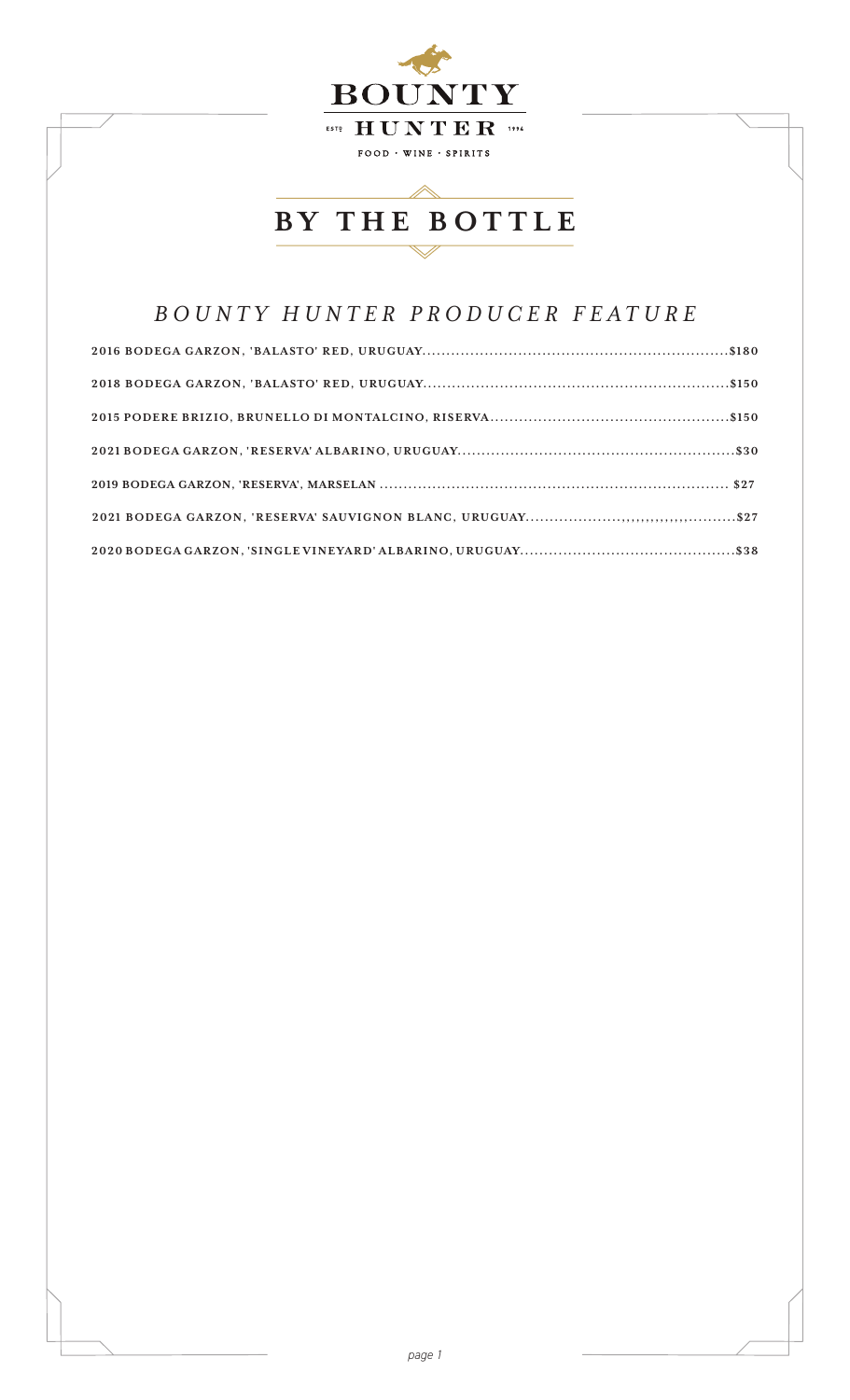

## *BOUNTY HUNTER PRODUCER FEATURE*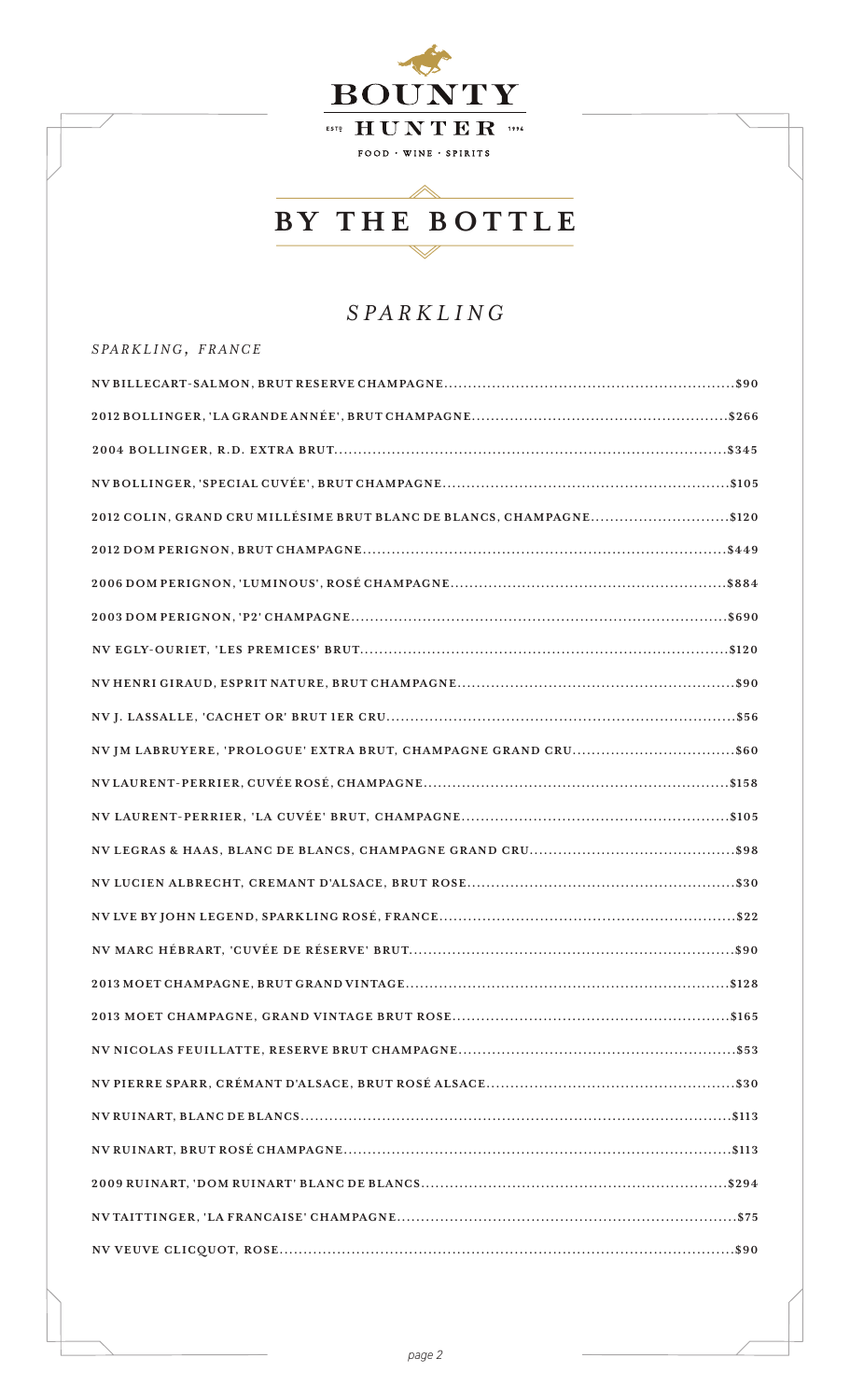

## *SPARKLING*

| SPARKLING, FRANCE                                                    |
|----------------------------------------------------------------------|
|                                                                      |
|                                                                      |
|                                                                      |
|                                                                      |
| 2012 COLIN, GRAND CRU MILLÉSIME BRUT BLANC DE BLANCS, CHAMPAGNE\$120 |
|                                                                      |
|                                                                      |
|                                                                      |
|                                                                      |
|                                                                      |
|                                                                      |
|                                                                      |
|                                                                      |
|                                                                      |
|                                                                      |
|                                                                      |
|                                                                      |
|                                                                      |
|                                                                      |
|                                                                      |
|                                                                      |
|                                                                      |
|                                                                      |
|                                                                      |
|                                                                      |
|                                                                      |
|                                                                      |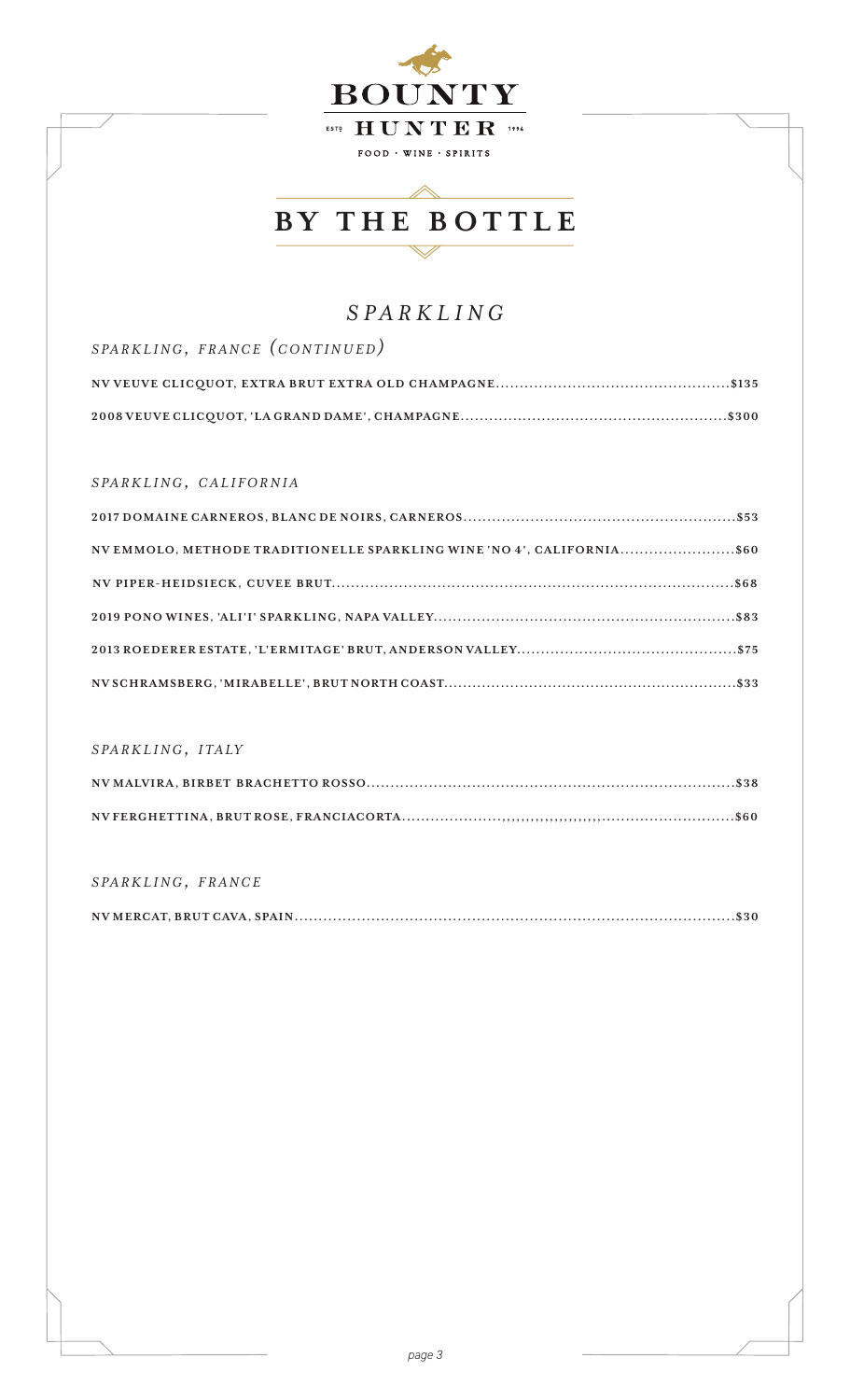

## *SPARKLING*

| SPARKLING, FRANCE (CONTINUED) |
|-------------------------------|
|                               |
|                               |

### *s pa r k l i n g, c a l i f o r n i a*

| NV EMMOLO, METHODE TRADITIONELLE SPARKLING WINE 'NO 4', CALIFORNIA\$60 |  |
|------------------------------------------------------------------------|--|
|                                                                        |  |
|                                                                        |  |
|                                                                        |  |
|                                                                        |  |

### *s pa r k l i n g, i t a ly*

### *s pa r k l i n g, f r a n c e*

|--|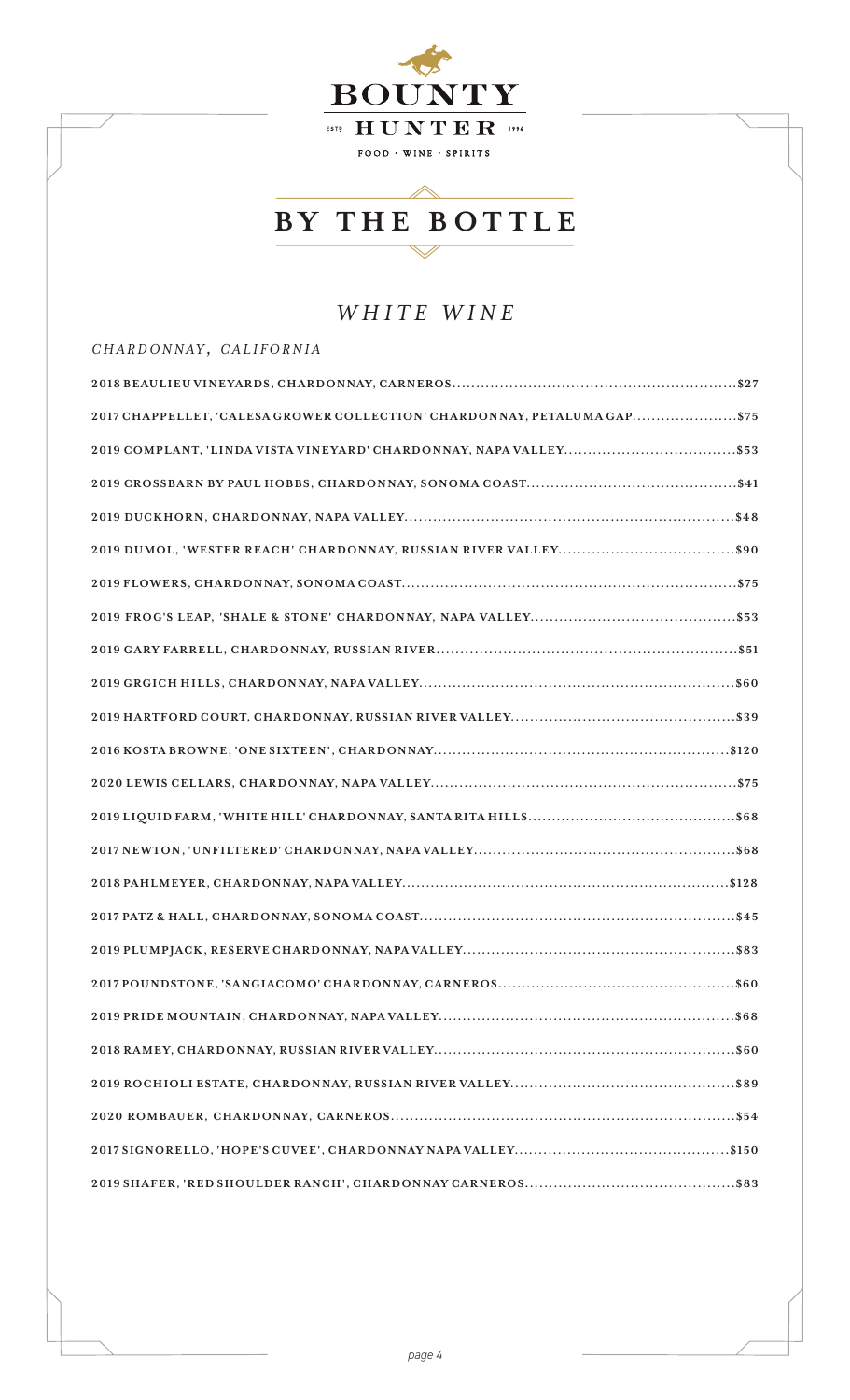

### *WHITE WINE*

#### *c h a r d o n n ay , c a l i f o r n i a*

| 2017 CHAPPELLET, 'CALESA GROWER COLLECTION' CHARDONNAY, PETALUMA GAP\$75 |
|--------------------------------------------------------------------------|
|                                                                          |
|                                                                          |
|                                                                          |
|                                                                          |
|                                                                          |
|                                                                          |
|                                                                          |
|                                                                          |
|                                                                          |
|                                                                          |
|                                                                          |
|                                                                          |
|                                                                          |
|                                                                          |
|                                                                          |
|                                                                          |
|                                                                          |
|                                                                          |
|                                                                          |
|                                                                          |
|                                                                          |
|                                                                          |
|                                                                          |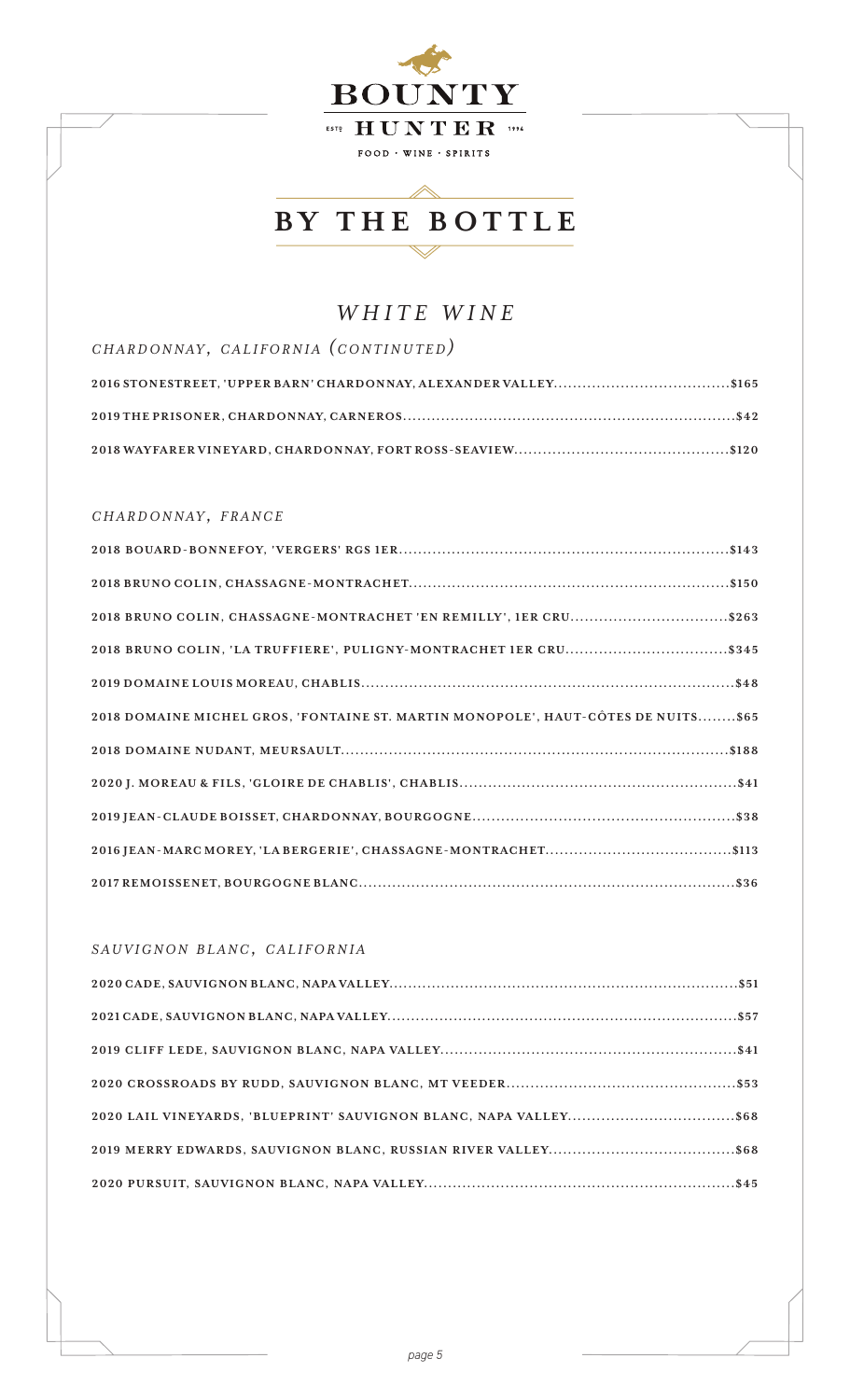

### *WHITE WINE*

| CHARDONNAY, CALIFORNIA (CONTINUTED) |
|-------------------------------------|
|                                     |
|                                     |
|                                     |

### *c h a r d o n n ay , f r a n c e*

| 2018 BRUNO COLIN, CHASSAGNE-MONTRACHET 'EN REMILLY', 1ER CRU\$263                 |
|-----------------------------------------------------------------------------------|
| 2018 BRUNO COLIN, 'LA TRUFFIERE', PULIGNY-MONTRACHET IER CRU\$345                 |
|                                                                                   |
| 2018 DOMAINE MICHEL GROS, 'FONTAINE ST. MARTIN MONOPOLE', HAUT-CÔTES DE NUITS\$65 |
|                                                                                   |
|                                                                                   |
|                                                                                   |
|                                                                                   |
|                                                                                   |

### *s a u v i g n o n b l a n c, c a l i f o r n i a*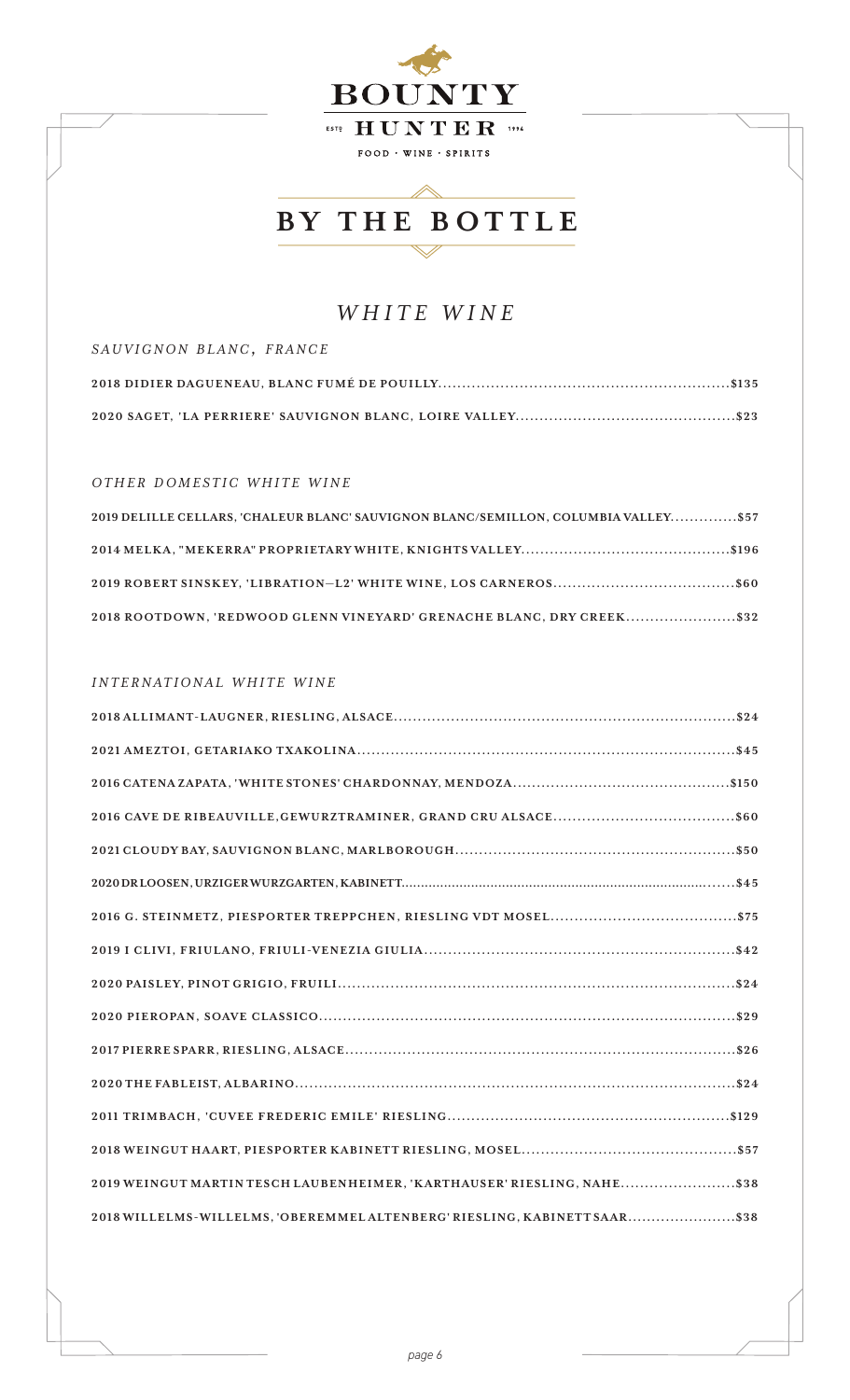

 $\triangle$ 

### *WHITE WINE*

| SAUVIGNON BLANC, FRANCE |  |
|-------------------------|--|
|                         |  |
|                         |  |

#### *o t h e r d o m e s t i c w h i t e w i n e*

| 2019 DELILLE CELLARS, 'CHALEUR BLANC' SAUVIGNON BLANC/SEMILLON, COLUMBIA VALLEY\$57 |
|-------------------------------------------------------------------------------------|
|                                                                                     |
|                                                                                     |
| 2018 ROOTDOWN, 'REDWOOD GLENN VINEYARD' GRENACHE BLANC, DRY CREEK\$32               |

#### *i n t e r n a t i o n a l w h i t e w i n e*

| 2019 WEINGUT MARTIN TESCH LAUBENHEIMER, 'KARTHAUSER' RIESLING, NAHE\$38   |
|---------------------------------------------------------------------------|
| 2018 WILLELMS-WILLELMS, 'OBEREMMEL ALTENBERG' RIESLING, KABINETT SAAR\$38 |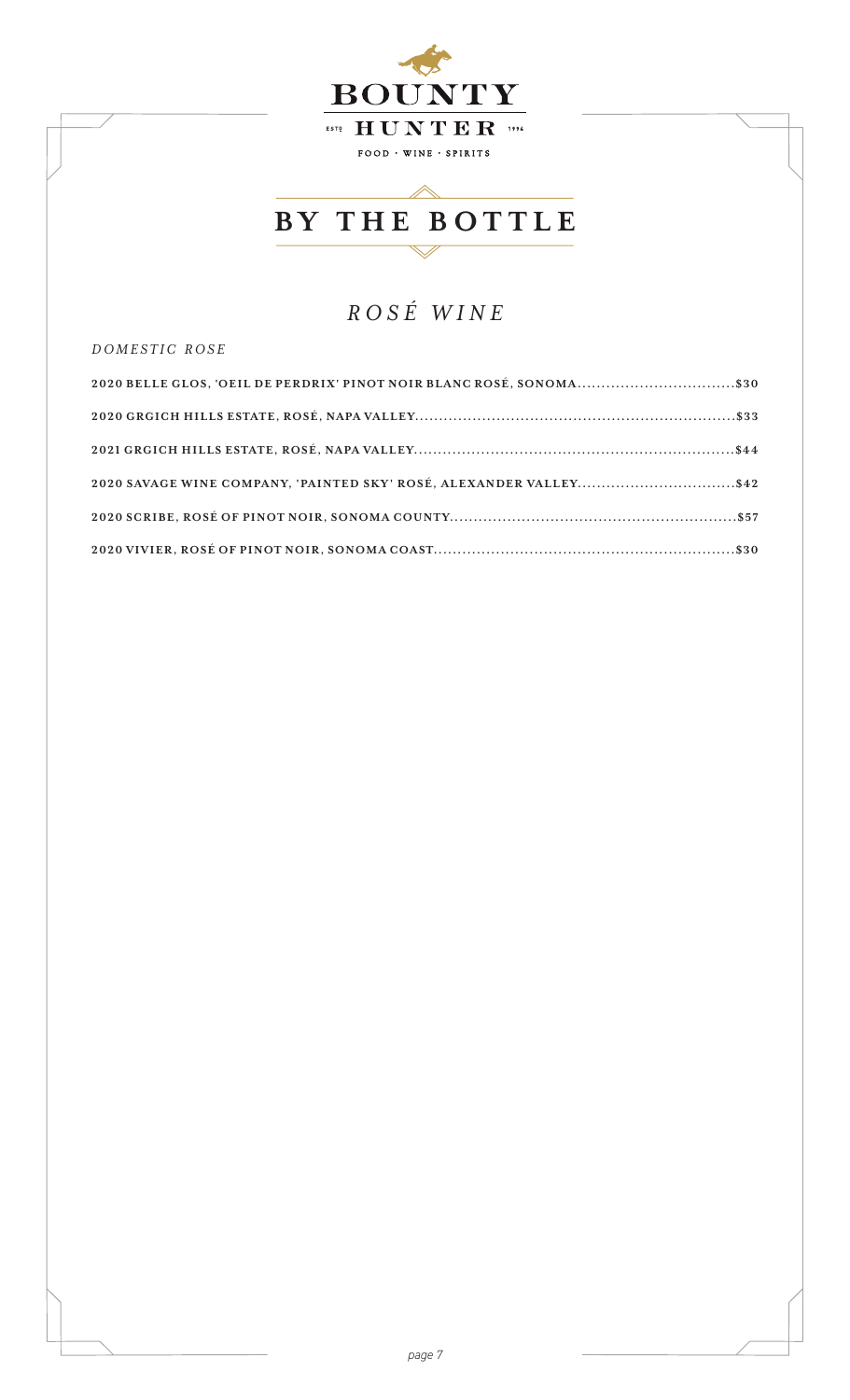

## *ROSÉ WINE*

*d o m e s t i c r o s e*

| 2020 BELLE GLOS, 'OEIL DE PERDRIX' PINOT NOIR BLANC ROSÉ, SONOMA\$30 |
|----------------------------------------------------------------------|
|                                                                      |
|                                                                      |
| 2020 SAVAGE WINE COMPANY, 'PAINTED SKY' ROSÉ, ALEXANDER VALLEY\$42   |
|                                                                      |
|                                                                      |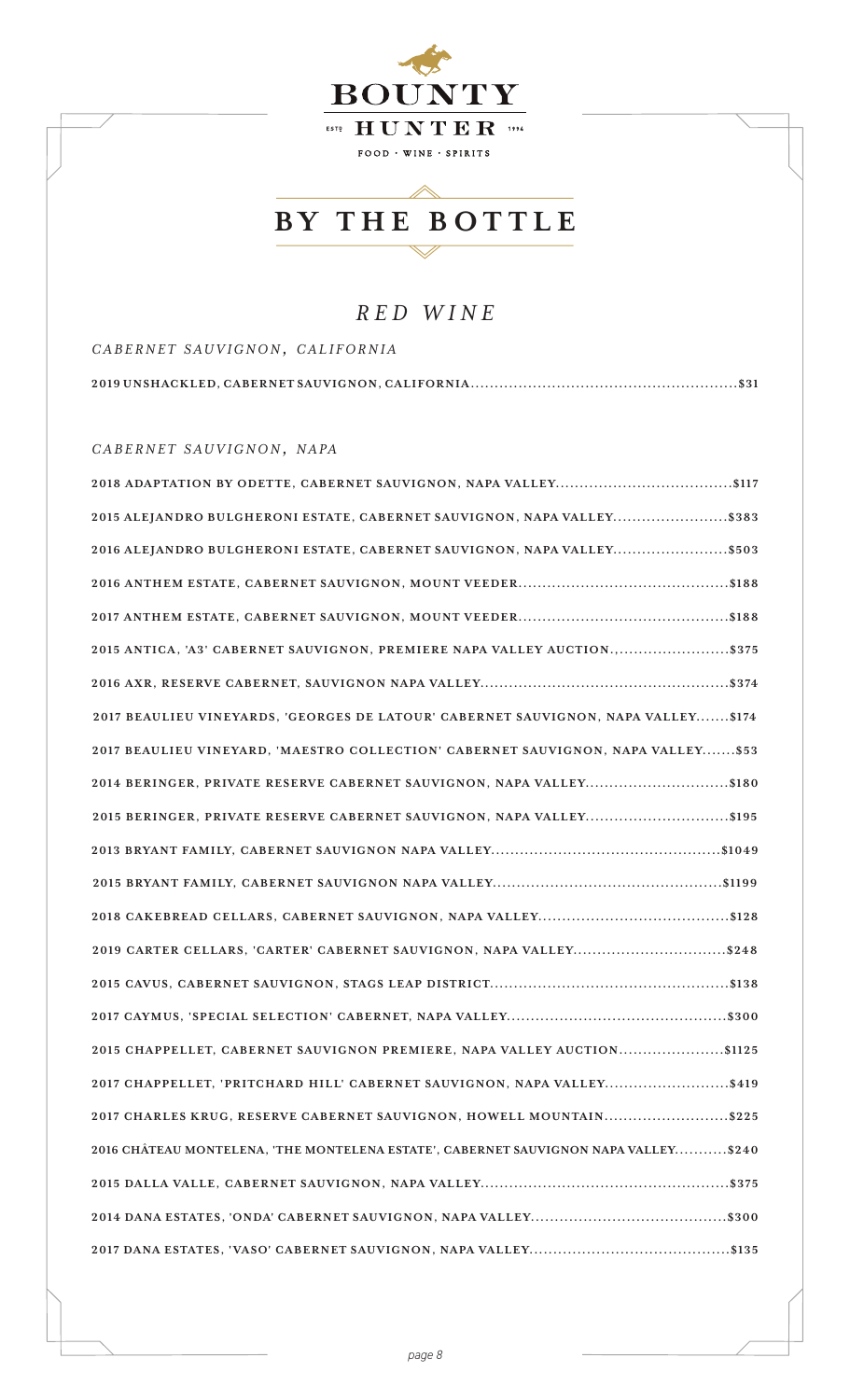

### *RED WINE*

*c a b e r n e t s a u v i g n o n, c a l i f o r n i a*

*c a b e r n e t s a u v i g n o n, n a pa*

| 2018 ADAPTATION BY ODETTE, CABERNET SAUVIGNON, NAPA VALLEY\$117                     |
|-------------------------------------------------------------------------------------|
| 2015 ALEJANDRO BULGHERONI ESTATE, CABERNET SAUVIGNON, NAPA VALLEY\$383              |
| 2016 ALEJANDRO BULGHERONI ESTATE, CABERNET SAUVIGNON, NAPA VALLEY\$503              |
|                                                                                     |
|                                                                                     |
| 2015 ANTICA, 'A3' CABERNET SAUVIGNON, PREMIERE NAPA VALLEY AUCTION.,\$375           |
|                                                                                     |
| 2017 BEAULIEU VINEYARDS, 'GEORGES DE LATOUR' CABERNET SAUVIGNON, NAPA VALLEY\$174   |
| 2017 BEAULIEU VINEYARD, 'MAESTRO COLLECTION' CABERNET SAUVIGNON, NAPA VALLEY\$53    |
| 2014 BERINGER, PRIVATE RESERVE CABERNET SAUVIGNON, NAPA VALLEY\$180                 |
| 2015 BERINGER, PRIVATE RESERVE CABERNET SAUVIGNON, NAPA VALLEY\$195                 |
|                                                                                     |
|                                                                                     |
|                                                                                     |
| 2019 CARTER CELLARS, 'CARTER' CABERNET SAUVIGNON, NAPA VALLEY\$248                  |
|                                                                                     |
|                                                                                     |
| 2015 CHAPPELLET, CABERNET SAUVIGNON PREMIERE, NAPA VALLEY AUCTION\$1125             |
| 2017 CHAPPELLET, 'PRITCHARD HILL' CABERNET SAUVIGNON, NAPA VALLEY\$419              |
| 2017 CHARLES KRUG, RESERVE CABERNET SAUVIGNON, HOWELL MOUNTAIN\$225                 |
| 2016 CHÂTEAU MONTELENA, 'THE MONTELENA ESTATE', CABERNET SAUVIGNON NAPA VALLEY\$240 |
|                                                                                     |
|                                                                                     |
|                                                                                     |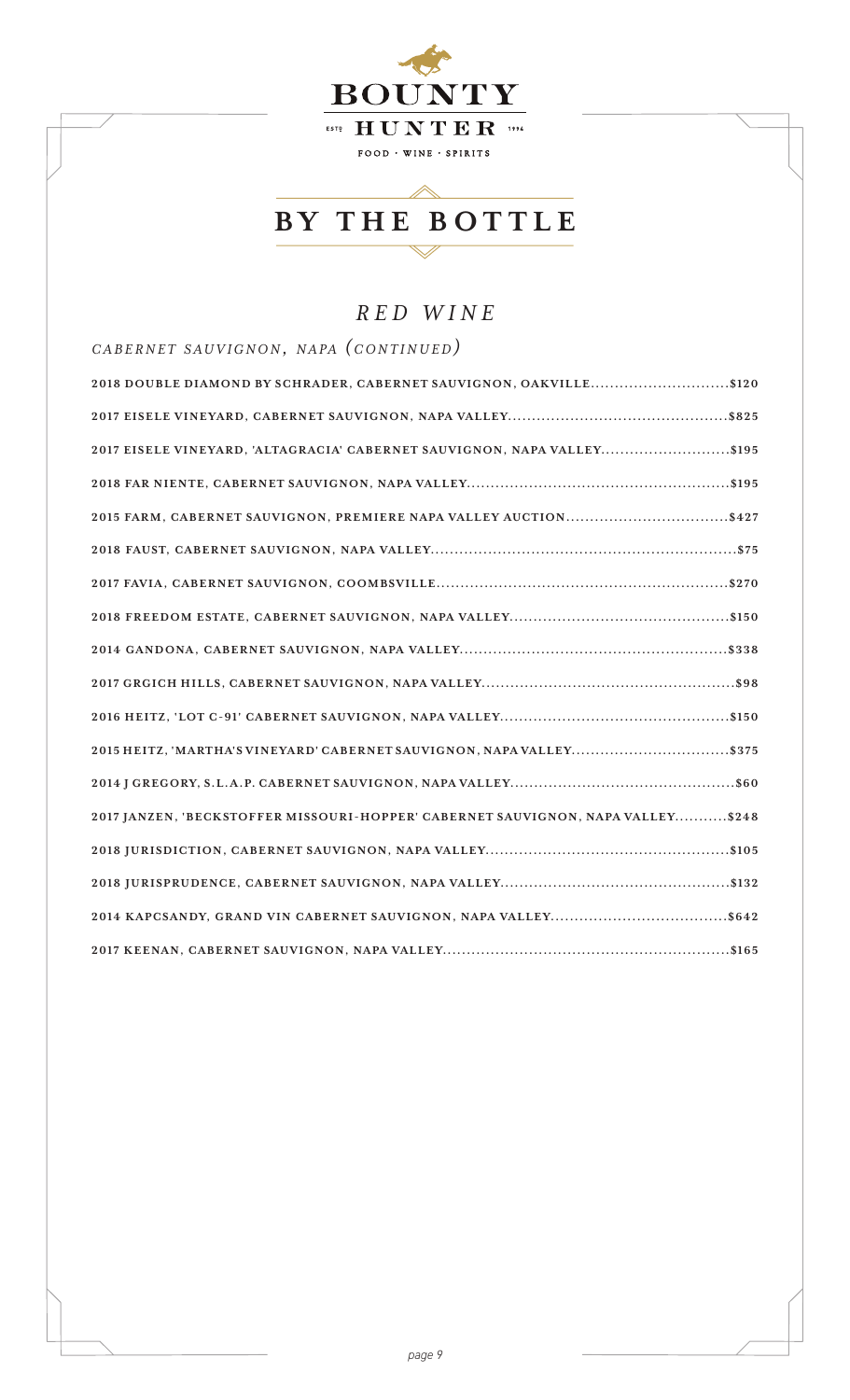

## *RED WINE*

*c a b e r n e t s a u v i g n o n, n a pa (c o n t i n u e d)*

| 2018 DOUBLE DIAMOND BY SCHRADER, CABERNET SAUVIGNON, OAKVILLE\$120              |
|---------------------------------------------------------------------------------|
|                                                                                 |
| 2017 EISELE VINEYARD, 'ALTAGRACIA' CABERNET SAUVIGNON, NAPA VALLEY\$195         |
|                                                                                 |
|                                                                                 |
|                                                                                 |
|                                                                                 |
|                                                                                 |
|                                                                                 |
|                                                                                 |
|                                                                                 |
| 2015 HEITZ, 'MARTHA'S VINEYARD' CABERNET SAUVIGNON, NAPA VALLEY\$375            |
|                                                                                 |
| 2017 JANZEN, 'BECKSTOFFER MISSOURI-HOPPER' CABERNET SAUVIGNON, NAPA VALLEY\$248 |
|                                                                                 |
|                                                                                 |
|                                                                                 |
|                                                                                 |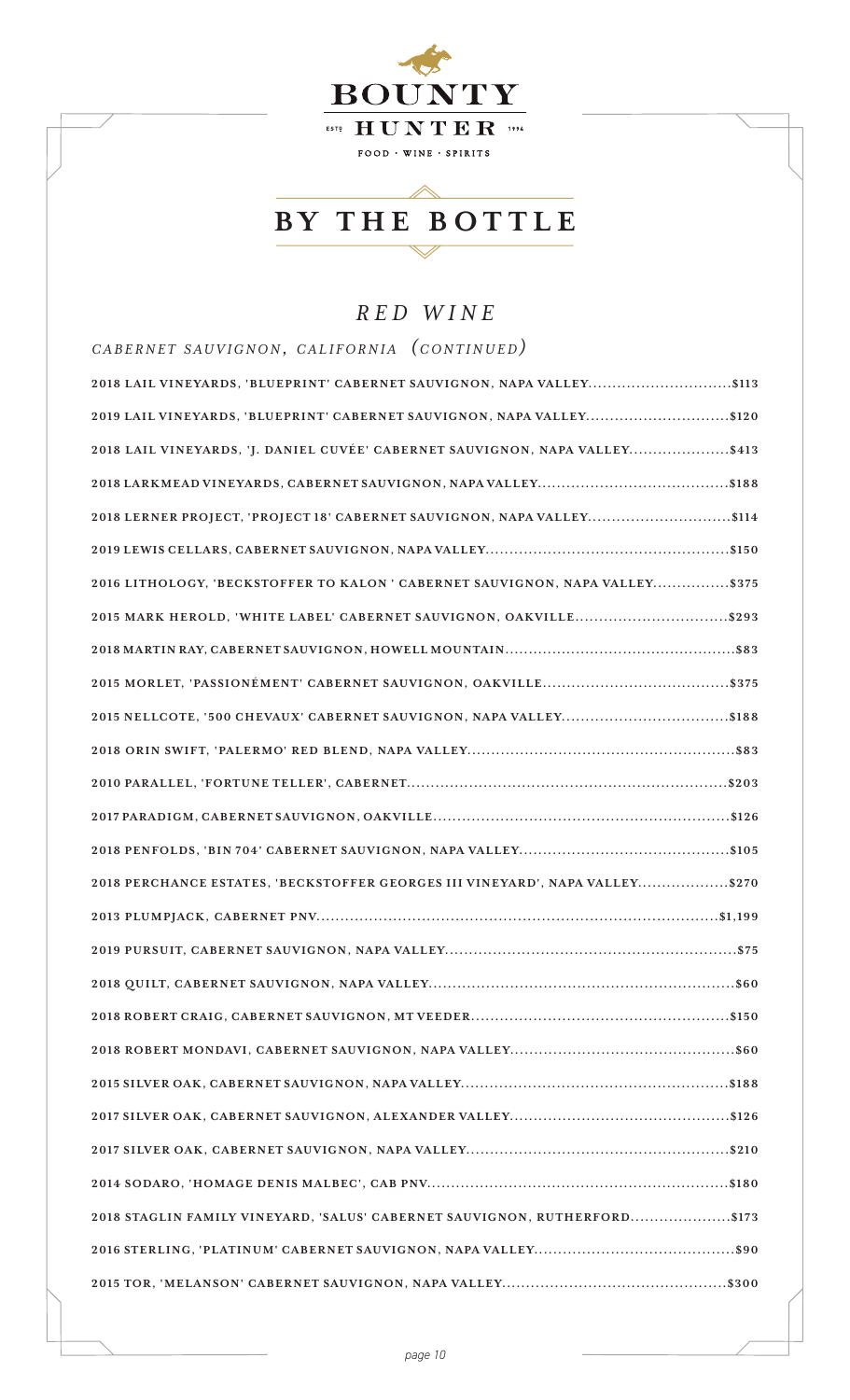

## *RED WINE*

| CABERNET SAUVIGNON, CALIFORNIA (CONTINUED)                                   |
|------------------------------------------------------------------------------|
| 2018 LAIL VINEYARDS, 'BLUEPRINT' CABERNET SAUVIGNON, NAPA VALLEY\$113        |
| 2019 LAIL VINEYARDS, 'BLUEPRINT' CABERNET SAUVIGNON, NAPA VALLEY\$120        |
| 2018 LAIL VINEYARDS, 'J. DANIEL CUVÉE' CABERNET SAUVIGNON, NAPA VALLEY\$413  |
|                                                                              |
| 2018 LERNER PROJECT, 'PROJECT 18' CABERNET SAUVIGNON, NAPA VALLEY\$114       |
|                                                                              |
| 2016 LITHOLOGY, 'BECKSTOFFER TO KALON' CABERNET SAUVIGNON, NAPA VALLEY\$375  |
| 2015 MARK HEROLD, 'WHITE LABEL' CABERNET SAUVIGNON, OAKVILLE\$293            |
|                                                                              |
|                                                                              |
| 2015 NELLCOTE, '500 CHEVAUX' CABERNET SAUVIGNON, NAPA VALLEY\$188            |
|                                                                              |
|                                                                              |
|                                                                              |
|                                                                              |
| 2018 PERCHANCE ESTATES, 'BECKSTOFFER GEORGES III VINEYARD', NAPA VALLEY\$270 |
|                                                                              |
|                                                                              |
|                                                                              |
|                                                                              |
|                                                                              |
|                                                                              |
|                                                                              |
|                                                                              |
|                                                                              |
| 2018 STAGLIN FAMILY VINEYARD, 'SALUS' CABERNET SAUVIGNON, RUTHERFORD\$173    |
|                                                                              |
|                                                                              |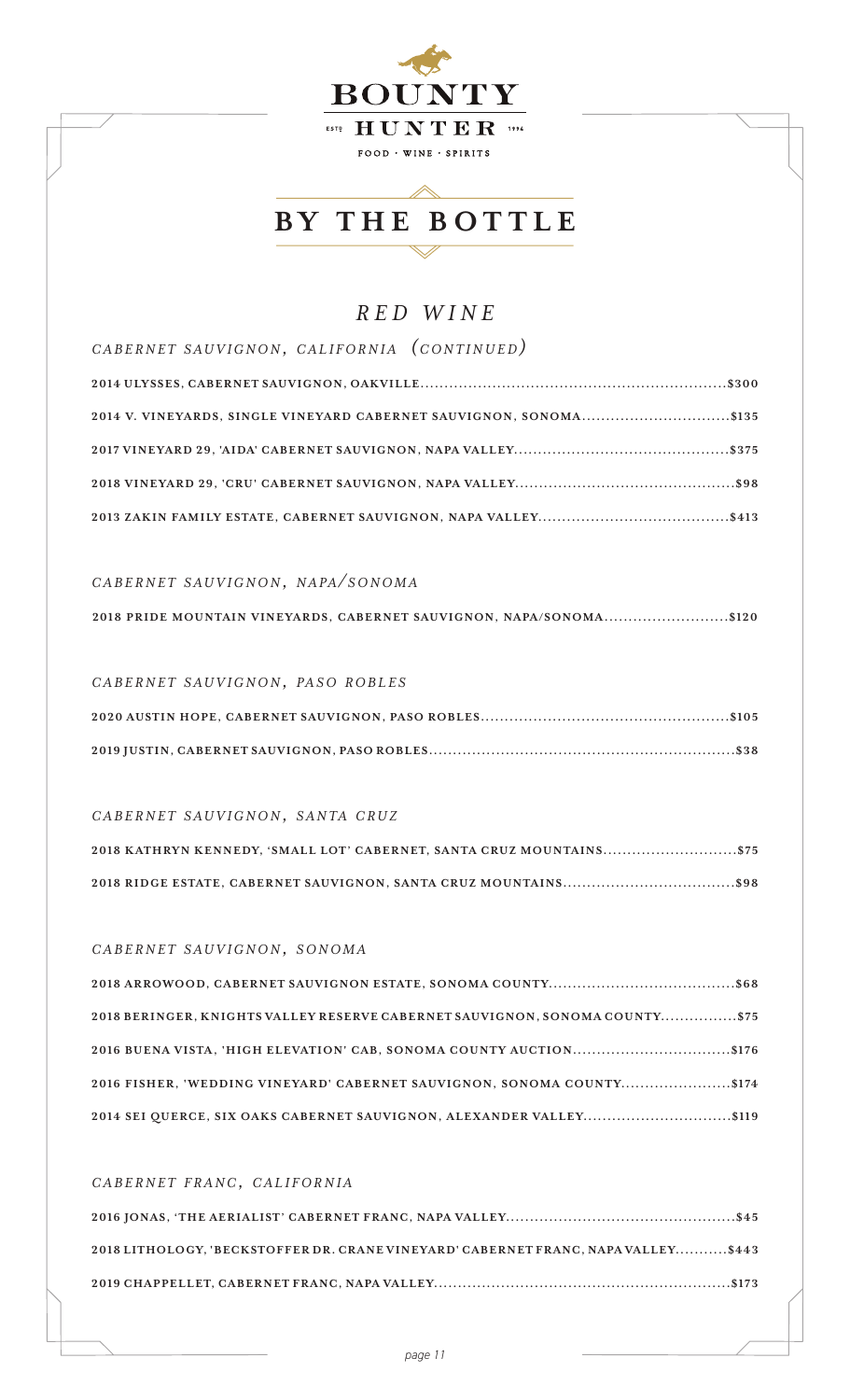

### *RED WINE*

| CABERNET SAUVIGNON, CALIFORNIA (CONTINUED)                         |
|--------------------------------------------------------------------|
|                                                                    |
| 2014 V. VINEYARDS, SINGLE VINEYARD CABERNET SAUVIGNON, SONOMA\$135 |
|                                                                    |
|                                                                    |
|                                                                    |

#### *c a b e r n e t s a u v i g n o n, n a pa / s o n o m a*

*c a b e r n e t s a u v i g n o n, pa s o r o b l e s*

#### *CABERNET SAUVIGNON, SANTA CRUZ*

| 2018 KATHRYN KENNEDY, 'SMALL LOT' CABERNET, SANTA CRUZ MOUNTAINS\$75 |
|----------------------------------------------------------------------|
|                                                                      |

### *c a b e r n e t s a u v i g n o n, s o n o m a*

| 2018 BERINGER, KNIGHTS VALLEY RESERVE CABERNET SAUVIGNON, SONOMA COUNTY\$75 |
|-----------------------------------------------------------------------------|
|                                                                             |
| 2016 FISHER, 'WEDDING VINEYARD' CABERNET SAUVIGNON, SONOMA COUNTY\$174      |
| 2014 SEI QUERCE, SIX OAKS CABERNET SAUVIGNON, ALEXANDER VALLEY\$119         |

### *c a b e r n e t f r a n c, c a l i f o r n i a*

| 2018 LITHOLOGY, 'BECKSTOFFER DR. CRANE VINEYARD' CABERNET FRANC, NAPA VALLEY\$443 |
|-----------------------------------------------------------------------------------|
|                                                                                   |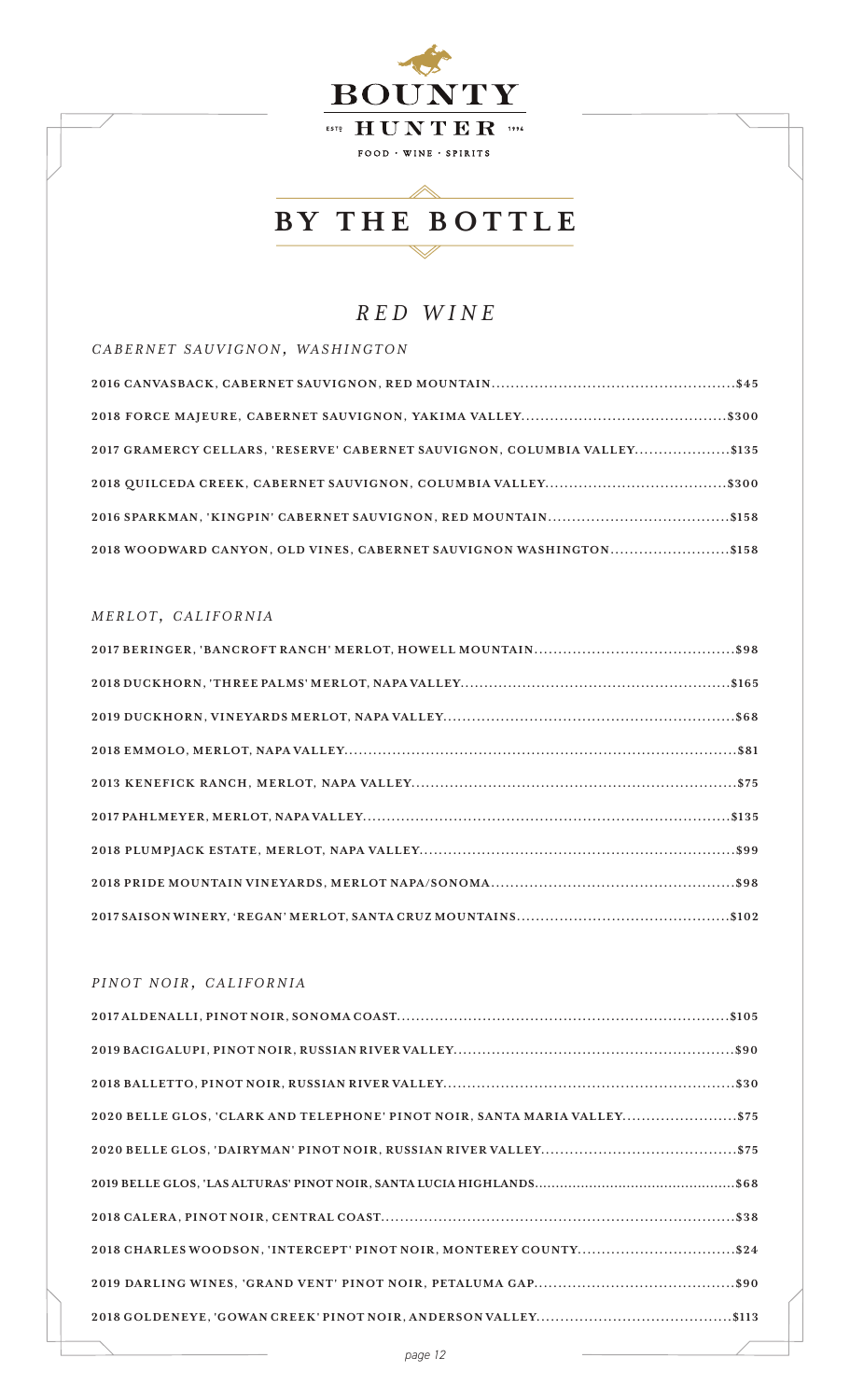

### *RED WINE*

*c a b e r n e t s a u v i g n o n, wa s h i n g t o n*

| 2017 GRAMERCY CELLARS, 'RESERVE' CABERNET SAUVIGNON, COLUMBIA VALLEY\$135 |
|---------------------------------------------------------------------------|
|                                                                           |
|                                                                           |
| 2018 WOODWARD CANYON, OLD VINES, CABERNET SAUVIGNON WASHINGTON\$158       |

#### $MERLOT, CALIFORNIA$

### *p i n o t n o i r , c a l i f o r n i a*

| 2020 BELLE GLOS, 'CLARK AND TELEPHONE' PINOT NOIR, SANTA MARIA VALLEY \$75 |
|----------------------------------------------------------------------------|
|                                                                            |
|                                                                            |
|                                                                            |
| 2018 CHARLES WOODSON, 'INTERCEPT' PINOT NOIR, MONTEREY COUNTY\$24          |
|                                                                            |
|                                                                            |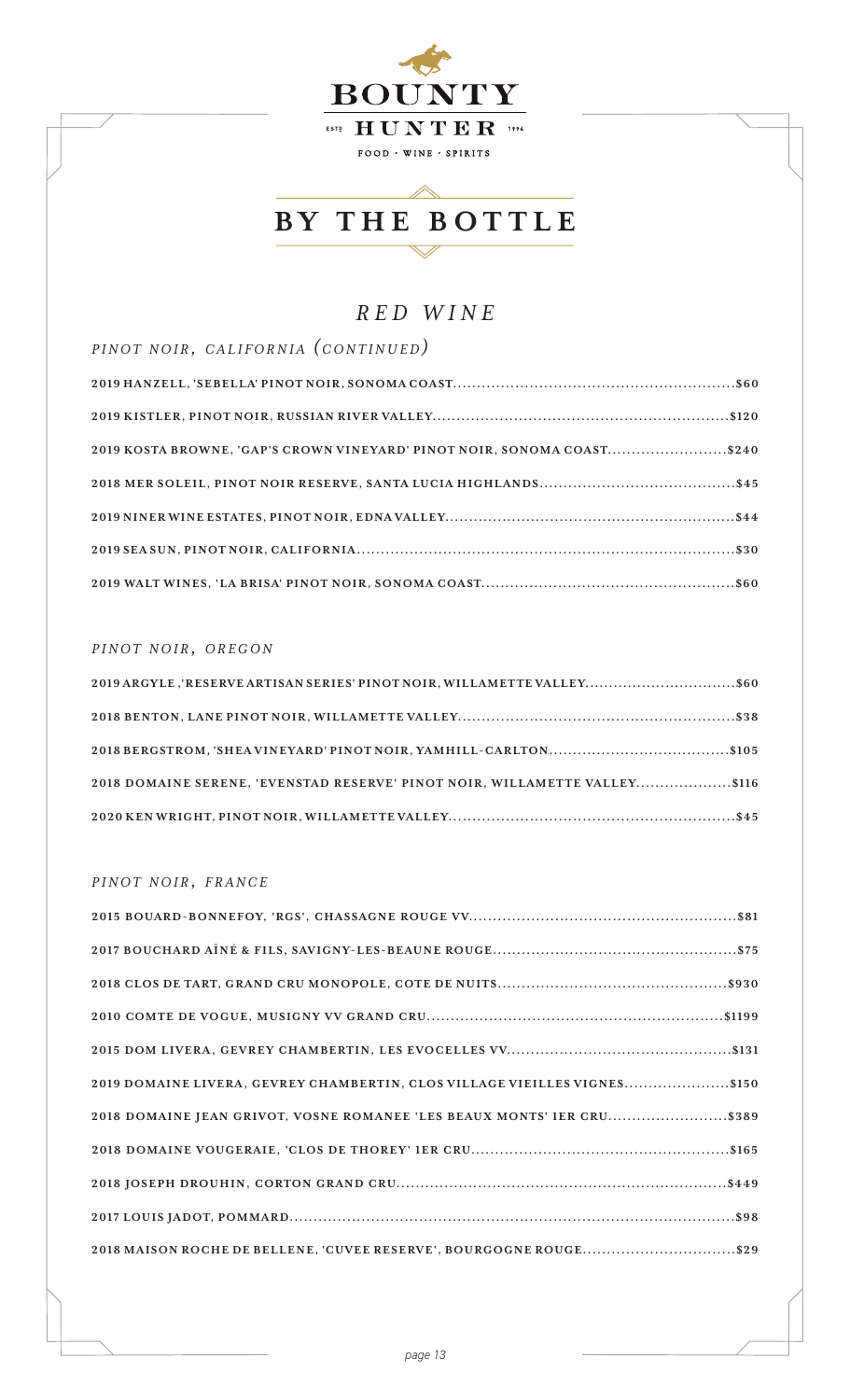

### *RED WINE*

*PINOT NOIR, CALIFORNIA (CONTINUED)* **2019 HANZELL, 'SEBELLA' PINOT NOIR, SONOMA COA ST...........................................................\$60 2019 KISTLER, PINOT NOIR, RUSSIAN RIVER VALLEY..............................................................\$120 2019 KOSTA BROWNE, 'GAP'S CROWN VINEYARD' PINOT NOIR, SONOMA COAST.........................\$240 2018 MER SOLEIL, PINOT NOIR RESERVE, SANTA LUCIA HIGHLANDS.........................................\$45 2019 NINER WINE ESTATES, PINOT NOIR, EDNA VALLEY.............................................................\$44 2019 SEA SUN, PINOT NOIR, CALIFORNIA...............................................................................\$30 2019 WALT WINES, 'LA BRISA' PINOT NOIR, SONOMA COA ST.....................................................\$60**

#### *p INOT NOIR, OREGON*

| 2019 ARGYLE, 'RESERVE ARTISAN SERIES' PINOT NOIR, WILLAMETTE VALLEY\$60    |  |
|----------------------------------------------------------------------------|--|
|                                                                            |  |
|                                                                            |  |
| 2018 DOMAINE SERENE, 'EVENSTAD RESERVE' PINOT NOIR, WILLAMETTE VALLEY\$116 |  |
|                                                                            |  |

#### $PINOT$  *NOIR*, *FRANCE*

| 2019 DOMAINE LIVERA, GEVREY CHAMBERTIN, CLOS VILLAGE VIEILLES VIGNES\$150 |
|---------------------------------------------------------------------------|
| 2018 DOMAINE JEAN GRIVOT, VOSNE ROMANEE 'LES BEAUX MONTS' IER CRU\$389    |
|                                                                           |
|                                                                           |
|                                                                           |
| 2018 MAISON ROCHE DE BELLENE, 'CUVEE RESERVE', BOURGOGNE ROUGE\$29        |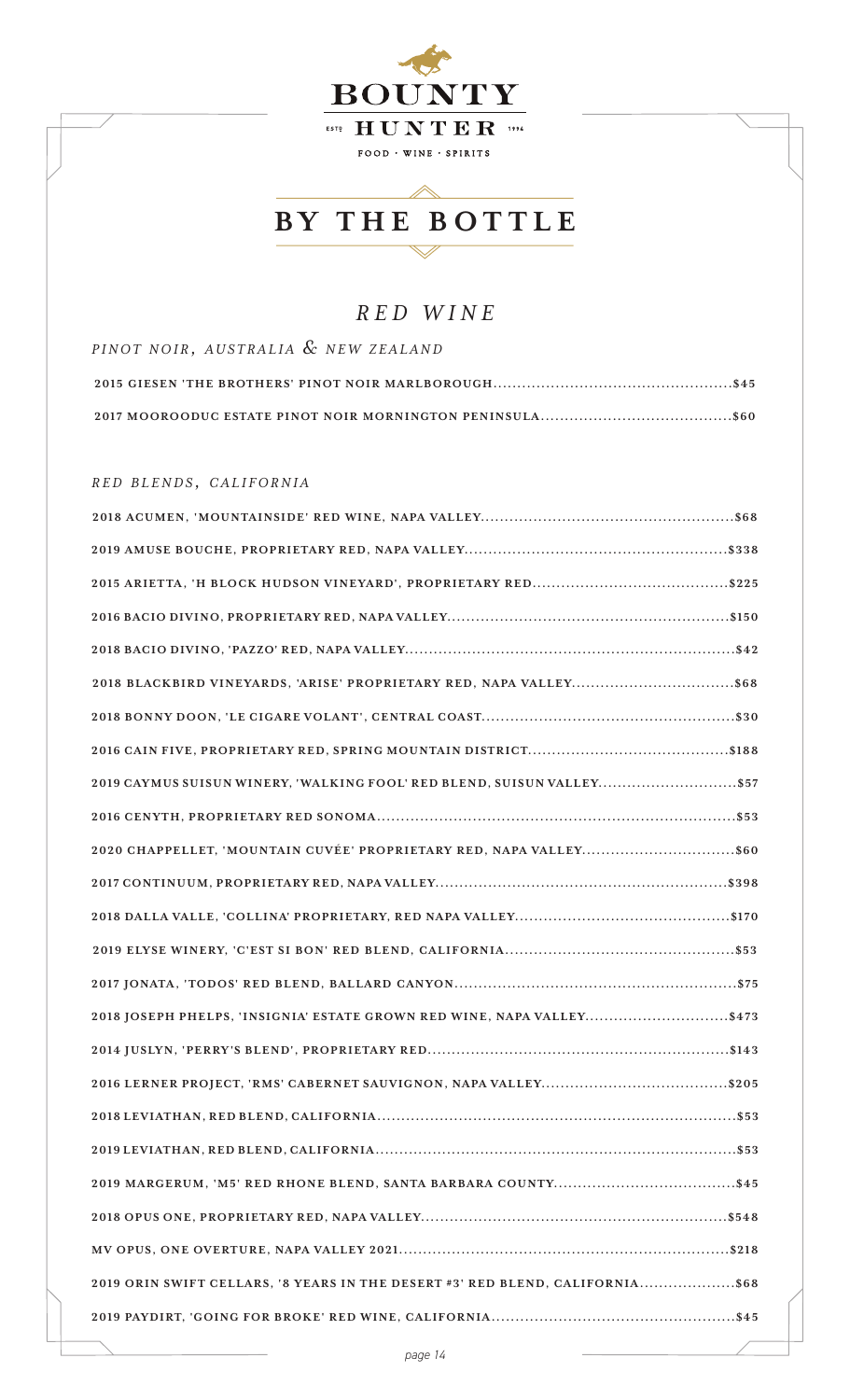

## *RED WINE*

| PINOT NOIR, AUSTRALIA & NEW ZEALAND |  |
|-------------------------------------|--|
|                                     |  |
|                                     |  |

### *r e d b l e n d s , c a l i f o r n i a*

| 2019 CAYMUS SUISUN WINERY, 'WALKING FOOL' RED BLEND, SUISUN VALLEY \$57       |
|-------------------------------------------------------------------------------|
|                                                                               |
|                                                                               |
|                                                                               |
|                                                                               |
|                                                                               |
|                                                                               |
| 2018 JOSEPH PHELPS, 'INSIGNIA' ESTATE GROWN RED WINE, NAPA VALLEY\$473        |
|                                                                               |
|                                                                               |
|                                                                               |
|                                                                               |
|                                                                               |
|                                                                               |
|                                                                               |
| 2019 ORIN SWIFT CELLARS, '8 YEARS IN THE DESERT #3' RED BLEND, CALIFORNIA\$68 |
|                                                                               |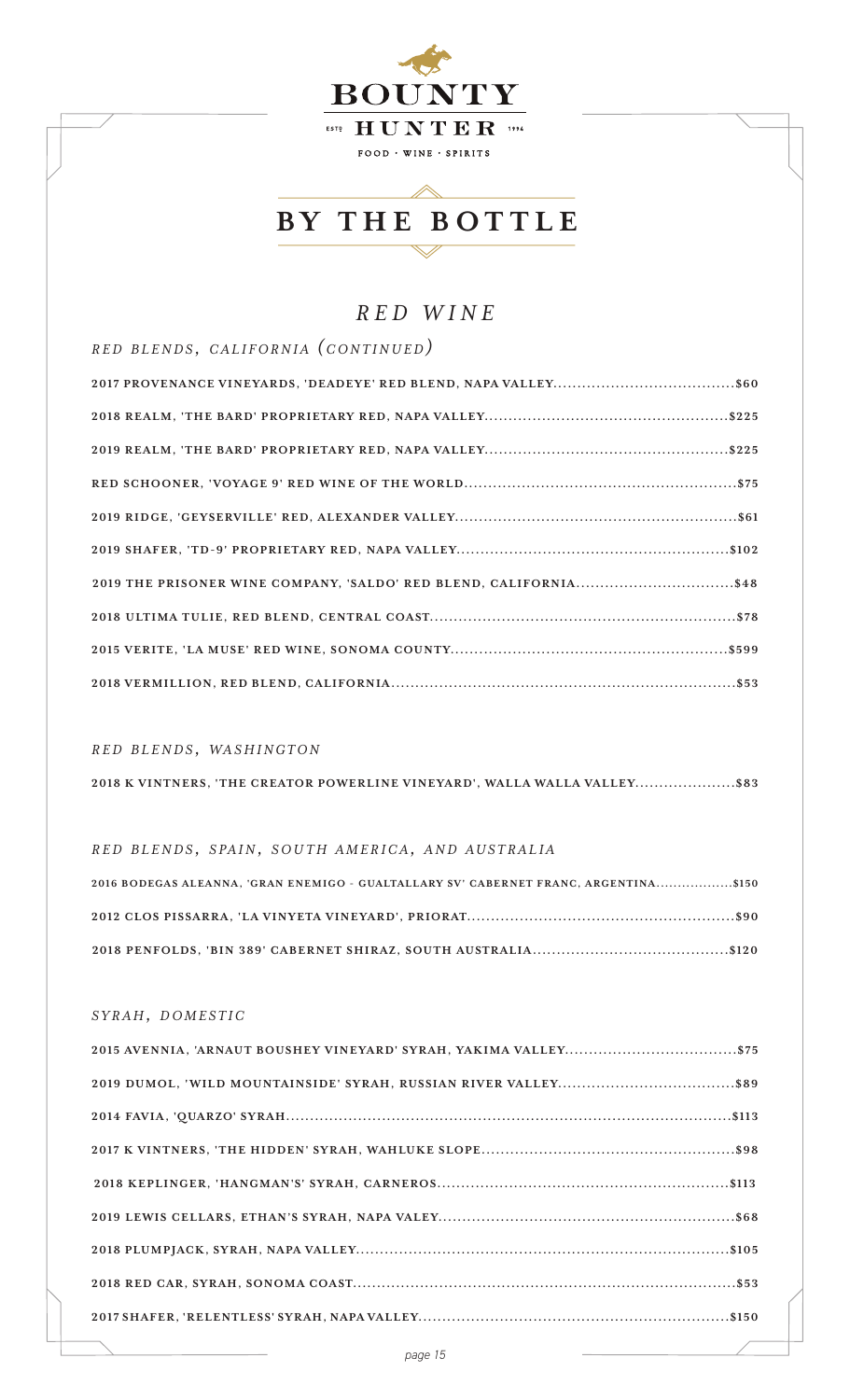

### *RED WINE*

*r e d b l e n d s , c a l i f o r n i a (c o n t i n u e d)*

| 2019 THE PRISONER WINE COMPANY, 'SALDO' RED BLEND, CALIFORNIA\$48 |
|-------------------------------------------------------------------|
|                                                                   |
|                                                                   |
|                                                                   |

### *r e d b l e n d s , wa s h i n g t o n*

|  | 2018 K VINTNERS, 'THE CREATOR POWERLINE VINEYARD', WALLA WALLA VALLEY\$83 |  |  |
|--|---------------------------------------------------------------------------|--|--|
|  |                                                                           |  |  |

#### *r e d b l e n d s , s pa i n, s o u t h a m e r i c a , a n d a u s t r a l i a*

| 2016 BODEGAS ALEANNA, 'GRAN ENEMIGO - GUALTALLARY SV' CABERNET FRANC, ARGENTINA\$150 |  |
|--------------------------------------------------------------------------------------|--|
|                                                                                      |  |
|                                                                                      |  |

#### *s y r a h, d o m e s t i c*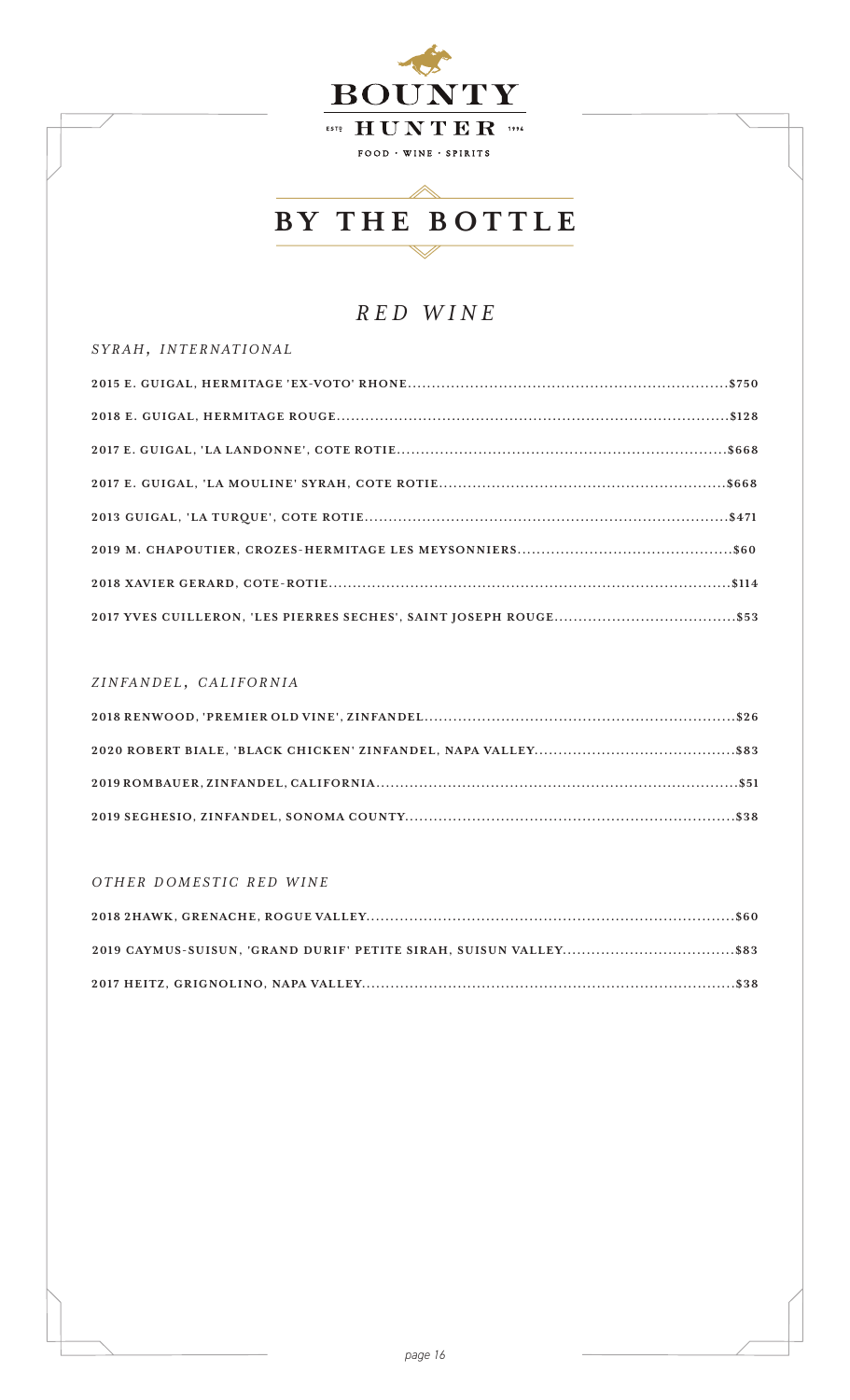

### *RED WINE*

#### *s y r a h, i n t e r n a t i o n a l*

#### *z i n fa n d e l , c a l i f o r n i a*

#### *o t h e r d o m e s t i c r e d w i n e*

| 2019 CAYMUS-SUISUN, 'GRAND DURIF' PETITE SIRAH, SUISUN VALLEY\$83 |  |
|-------------------------------------------------------------------|--|
|                                                                   |  |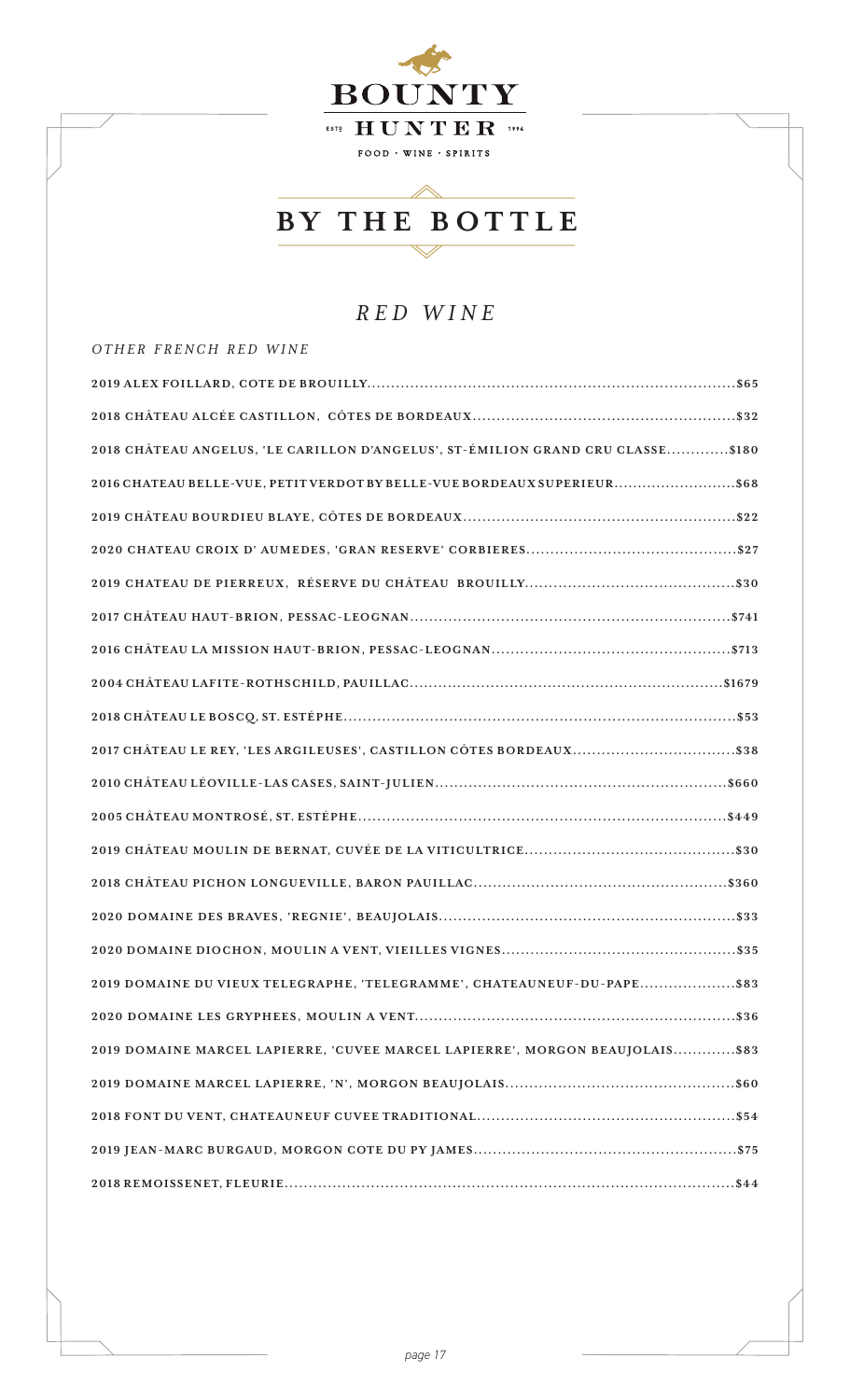

### **BY THE BOTTLE** $\overline{\diagdown}$

 $\diagup$ 

## *RED WINE*

| OTHER FRENCH RED WINE                                                           |  |
|---------------------------------------------------------------------------------|--|
|                                                                                 |  |
|                                                                                 |  |
| 2018 CHÂTEAU ANGELUS, 'LE CARILLON D'ANGELUS', ST-ÉMILION GRAND CRU CLASSE\$180 |  |
| 2016 CHATEAU BELLE-VUE, PETIT VERDOT BY BELLE-VUE BORDEAUX SUPERIEUR \$68       |  |
|                                                                                 |  |
|                                                                                 |  |
|                                                                                 |  |
|                                                                                 |  |
|                                                                                 |  |
|                                                                                 |  |
|                                                                                 |  |
| 2017 CHÂTEAU LE REY, 'LES ARGILEUSES', CASTILLON CÔTES BORDEAUX\$38             |  |
|                                                                                 |  |
|                                                                                 |  |
|                                                                                 |  |
|                                                                                 |  |
|                                                                                 |  |
|                                                                                 |  |
| 2019 DOMAINE DU VIEUX TELEGRAPHE, 'TELEGRAMME', CHATEAUNEUF-DU-PAPE\$83         |  |
|                                                                                 |  |
| 2019 DOMAINE MARCEL LAPIERRE, 'CUVEE MARCEL LAPIERRE', MORGON BEAUJOLAIS\$83    |  |
|                                                                                 |  |
|                                                                                 |  |
|                                                                                 |  |
|                                                                                 |  |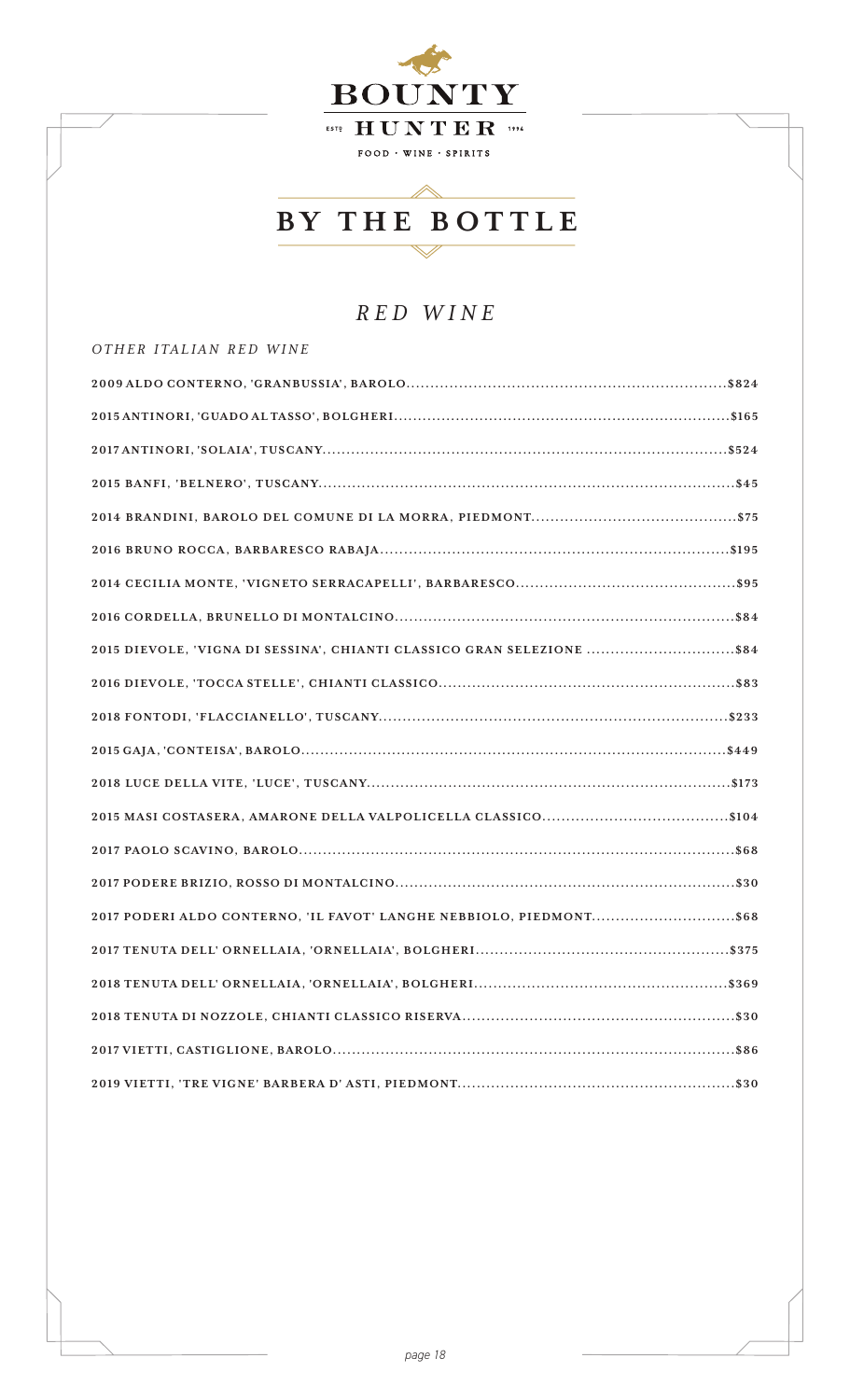

## *RED WINE*

| 2015 DIEVOLE, 'VIGNA DI SESSINA', CHIANTI CLASSICO GRAN SELEZIONE \$84 |
|------------------------------------------------------------------------|
|                                                                        |
|                                                                        |
|                                                                        |
|                                                                        |
|                                                                        |
|                                                                        |
|                                                                        |
|                                                                        |
| 2017 PODERI ALDO CONTERNO, 'IL FAVOT' LANGHE NEBBIOLO, PIEDMONT\$68    |
|                                                                        |
|                                                                        |
|                                                                        |
|                                                                        |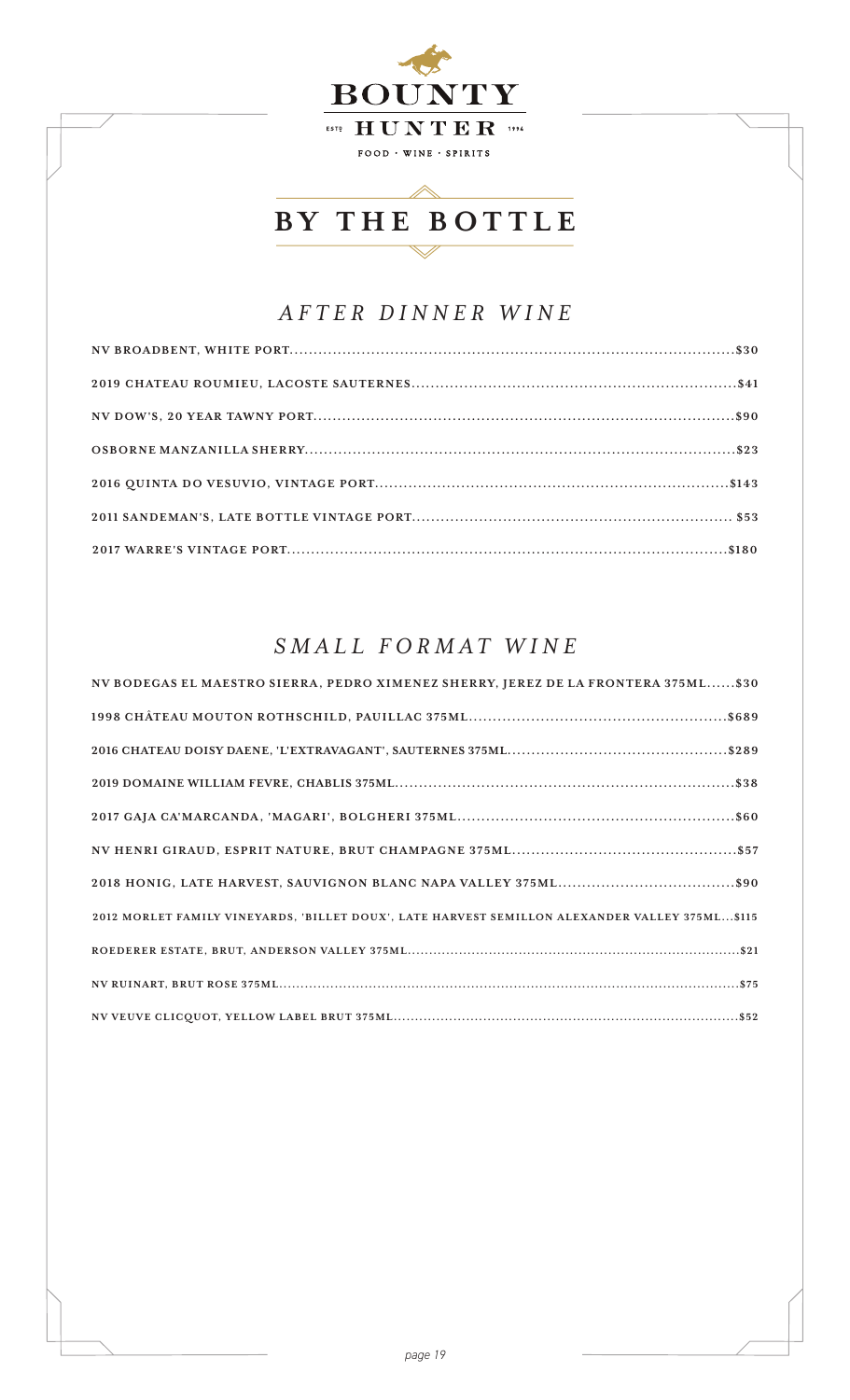

## *AFTER DINNER WINE*

## *SMALL FORMAT WINE*

| NV BODEGAS EL MAESTRO SIERRA, PEDRO XIMENEZ SHERRY, JEREZ DE LA FRONTERA 375ML \$30            |
|------------------------------------------------------------------------------------------------|
|                                                                                                |
|                                                                                                |
|                                                                                                |
|                                                                                                |
|                                                                                                |
|                                                                                                |
| 2012 MORLET FAMILY VINEYARDS, 'BILLET DOUX', LATE HARVEST SEMILLON ALEXANDER VALLEY 375ML\$115 |
|                                                                                                |
|                                                                                                |
|                                                                                                |